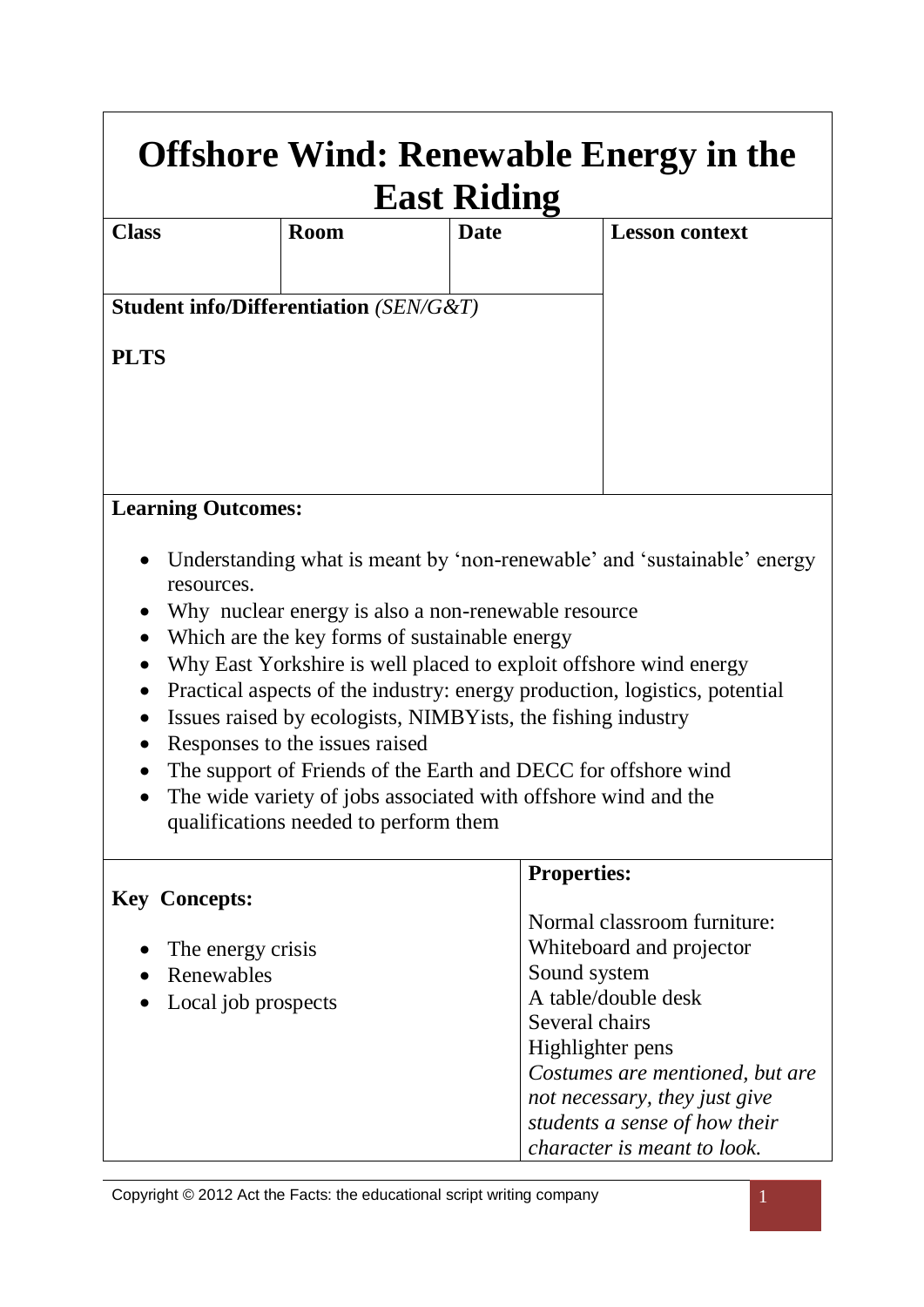| <b>Offshore Wind: Renewable Energy in the</b><br><b>East Riding</b>                                                                                                   |                                                     |  |             |  |                                                                         |  |  |
|-----------------------------------------------------------------------------------------------------------------------------------------------------------------------|-----------------------------------------------------|--|-------------|--|-------------------------------------------------------------------------|--|--|
| <b>Class</b>                                                                                                                                                          | <b>Room</b>                                         |  | <b>Date</b> |  | <b>Lesson context</b>                                                   |  |  |
|                                                                                                                                                                       |                                                     |  |             |  |                                                                         |  |  |
|                                                                                                                                                                       | <b>Student info/Differentiation (SEN/G&amp;T)</b>   |  |             |  |                                                                         |  |  |
| <b>PLTS</b>                                                                                                                                                           |                                                     |  |             |  |                                                                         |  |  |
|                                                                                                                                                                       |                                                     |  |             |  |                                                                         |  |  |
|                                                                                                                                                                       |                                                     |  |             |  |                                                                         |  |  |
|                                                                                                                                                                       |                                                     |  |             |  |                                                                         |  |  |
|                                                                                                                                                                       | <b>Learning Outcomes:</b>                           |  |             |  |                                                                         |  |  |
|                                                                                                                                                                       |                                                     |  |             |  |                                                                         |  |  |
|                                                                                                                                                                       | resources.                                          |  |             |  | Understanding what is meant by 'non-renewable' and 'sustainable' energy |  |  |
| $\bullet$                                                                                                                                                             | Why nuclear energy is also a non-renewable resource |  |             |  |                                                                         |  |  |
| $\bullet$                                                                                                                                                             | Which are the key forms of sustainable energy       |  |             |  |                                                                         |  |  |
| Why East Yorkshire is well placed to exploit offshore wind energy<br>$\bullet$                                                                                        |                                                     |  |             |  |                                                                         |  |  |
| Practical aspects of the industry: energy production, logistics, potential<br>$\bullet$<br>Issues raised by ecologists, NIMBY ists, the fishing industry<br>$\bullet$ |                                                     |  |             |  |                                                                         |  |  |
| Responses to the issues raised                                                                                                                                        |                                                     |  |             |  |                                                                         |  |  |
| The support of Friends of the Earth and DECC for offshore wind<br>$\bullet$                                                                                           |                                                     |  |             |  |                                                                         |  |  |
| The wide variety of jobs associated with offshore wind and the<br>$\bullet$                                                                                           |                                                     |  |             |  |                                                                         |  |  |
|                                                                                                                                                                       | qualifications needed to perform them               |  |             |  |                                                                         |  |  |
|                                                                                                                                                                       | Draportiage                                         |  |             |  |                                                                         |  |  |

| <b>Properties:</b>              |
|---------------------------------|
|                                 |
| Normal classroom furniture:     |
| Whiteboard and projector        |
| Sound system                    |
| A table/double desk             |
| Several chairs                  |
| Highlighter pens                |
| Costumes are mentioned, but are |
| not necessary, they just give   |
| students a sense of how their   |
| character is meant to look.     |
|                                 |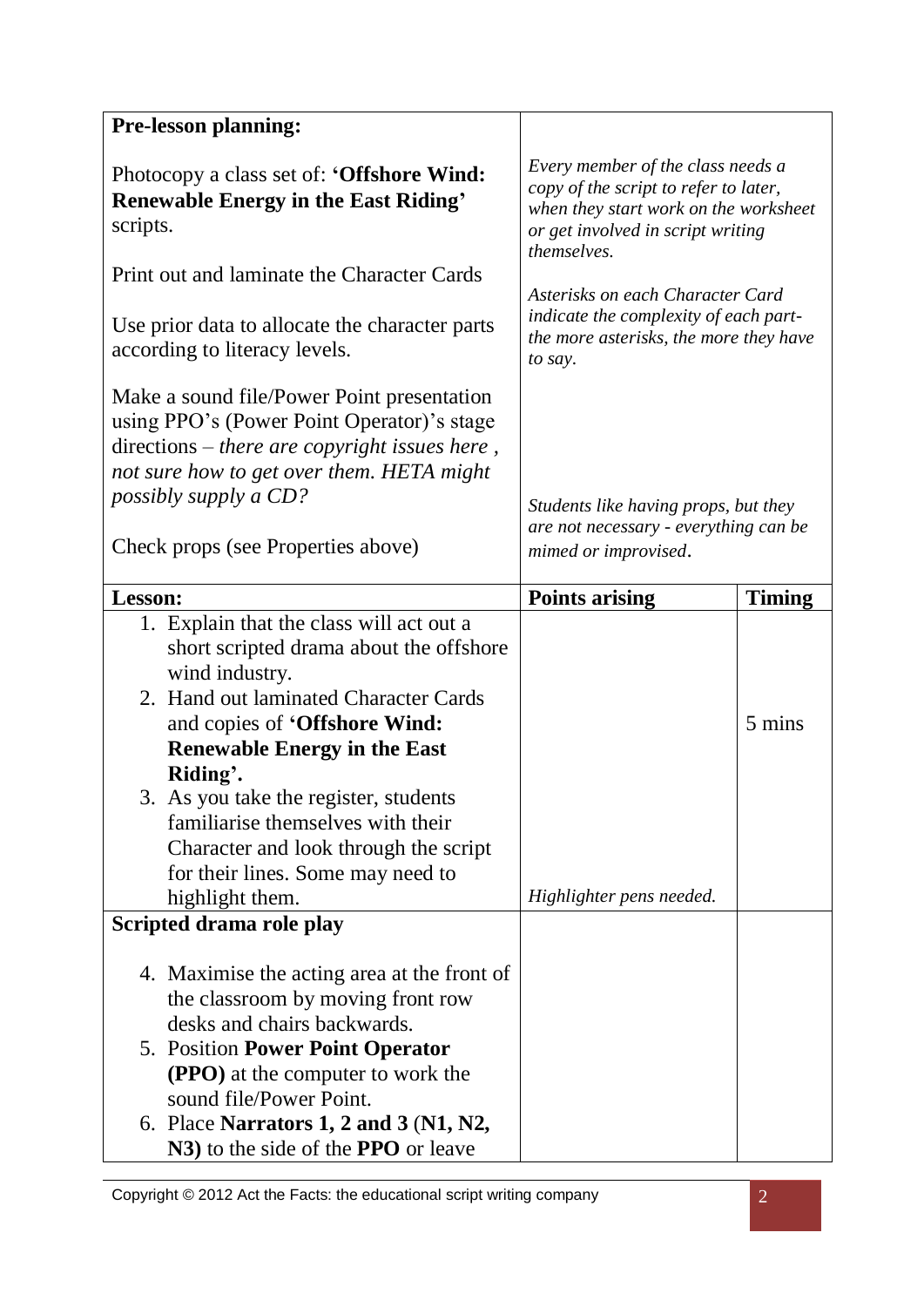| <b>Pre-lesson planning:</b>                                                                                                                                                                                                                                                 |                                                                                                                                                                         |        |  |
|-----------------------------------------------------------------------------------------------------------------------------------------------------------------------------------------------------------------------------------------------------------------------------|-------------------------------------------------------------------------------------------------------------------------------------------------------------------------|--------|--|
| Photocopy a class set of: 'Offshore Wind:<br><b>Renewable Energy in the East Riding'</b><br>scripts.                                                                                                                                                                        | Every member of the class needs a<br>copy of the script to refer to later,<br>when they start work on the worksheet<br>or get involved in script writing<br>themselves. |        |  |
| Print out and laminate the Character Cards                                                                                                                                                                                                                                  |                                                                                                                                                                         |        |  |
| Use prior data to allocate the character parts<br>according to literacy levels.                                                                                                                                                                                             | Asterisks on each Character Card<br>indicate the complexity of each part-<br>the more asterisks, the more they have<br>to say.                                          |        |  |
| Make a sound file/Power Point presentation<br>using PPO's (Power Point Operator)'s stage<br>directions - there are copyright issues here,<br>not sure how to get over them. HETA might<br>possibly supply a CD?                                                             |                                                                                                                                                                         |        |  |
| Check props (see Properties above)                                                                                                                                                                                                                                          | Students like having props, but they<br>are not necessary - everything can be<br>mimed or improvised.                                                                   |        |  |
| Lesson:                                                                                                                                                                                                                                                                     | <b>Points arising</b>                                                                                                                                                   | Timing |  |
| 1. Explain that the class will act out a<br>short scripted drama about the offshore<br>wind industry.<br>2. Hand out laminated Character Cards<br>and copies of 'Offshore Wind:<br><b>Renewable Energy in the East</b><br>Riding'.<br>3. As you take the register, students |                                                                                                                                                                         | 5 mins |  |
| familiarise themselves with their<br>Character and look through the script<br>for their lines. Some may need to<br>highlight them.                                                                                                                                          | Highlighter pens needed.                                                                                                                                                |        |  |
| Scripted drama role play                                                                                                                                                                                                                                                    |                                                                                                                                                                         |        |  |
|                                                                                                                                                                                                                                                                             |                                                                                                                                                                         |        |  |
| 4. Maximise the acting area at the front of<br>the classroom by moving front row<br>desks and chairs backwards.                                                                                                                                                             |                                                                                                                                                                         |        |  |
| 5. Position Power Point Operator<br><b>(PPO)</b> at the computer to work the<br>sound file/Power Point.                                                                                                                                                                     |                                                                                                                                                                         |        |  |
| 6. Place Narrators 1, 2 and 3 $(N1, N2,$<br>N3) to the side of the <b>PPO</b> or leave                                                                                                                                                                                      |                                                                                                                                                                         |        |  |